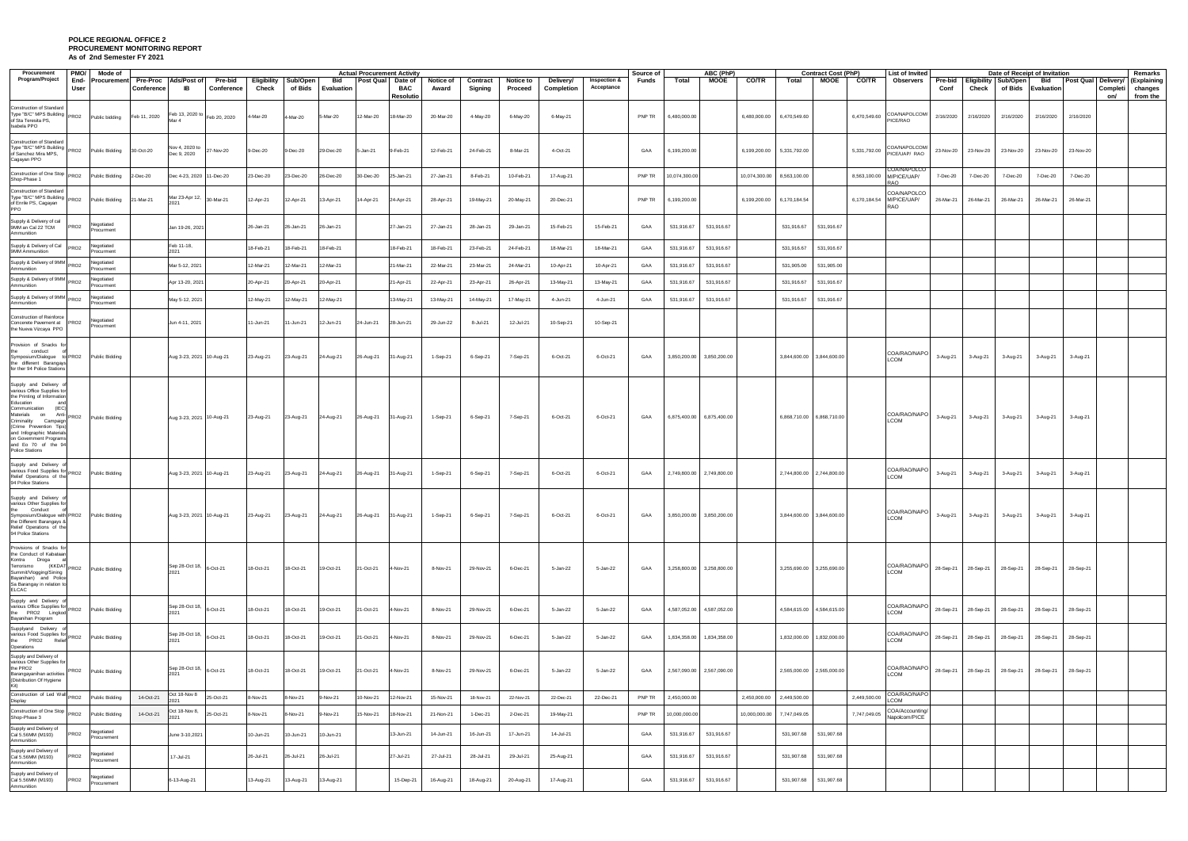## **POLICE REGIONAL OFFICE 2 PROCUREMENT MONITORING REPORT As of 2nd Semester FY 2021**

| Procurement                                                                                                                                                                                                                                                                                                          | <b>PMO/</b><br>Mode of             |              |                                        |                       |           |                                 | <b>Actual Procurement Activity</b> |                  |                        |                           |                     |                      |                                                                                       |                                        | Source of | ABC (PhP)                 |              |                             |              | <b>Contract Cost (PhP)</b> |              | <b>List of Invited</b>                                |                     |           |                              | Date of Receipt of Invitation                |                           | Remarks                            |  |
|----------------------------------------------------------------------------------------------------------------------------------------------------------------------------------------------------------------------------------------------------------------------------------------------------------------------|------------------------------------|--------------|----------------------------------------|-----------------------|-----------|---------------------------------|------------------------------------|------------------|------------------------|---------------------------|---------------------|----------------------|---------------------------------------------------------------------------------------|----------------------------------------|-----------|---------------------------|--------------|-----------------------------|--------------|----------------------------|--------------|-------------------------------------------------------|---------------------|-----------|------------------------------|----------------------------------------------|---------------------------|------------------------------------|--|
| Program/Project                                                                                                                                                                                                                                                                                                      | End-<br>User                       | Conference   | Procurement Pre-Proc Ads/Post of<br>IB | Pre-bid<br>Conference | Check     | Eligibility Sub/Open<br>of Bids | Bid<br><b>Evaluation</b>           | <b>Post Qual</b> | Date of<br>BAC         | <b>Notice of</b><br>Award | Contract<br>Signing | Notice to<br>Proceed | Delivery/<br>Completion                                                               | Inspection &<br>Acceptance             | Funds     | Total                     | <b>MOOE</b>  | <b>CO/TR</b>                | Total        | MOOE                       | CO/TR        | Observers                                             | Conf                | Check     | Pre-bid Eligibility Sub/Open | Bid<br>of Bids Evaluation                    | <b>Post Qual Delivery</b> | (Explaining<br>Completi<br>changes |  |
| <b>Construction of Standard</b><br>Type "B/C" MPS Building PRO2<br>of Sta Teresita PS,<br>Isabela PPO                                                                                                                                                                                                                | Public bidding                     | Feb 11, 2020 | Feb 13, 2020 to Feb 20, 2020           |                       | 4-Mar-20  | 4-Mar-20                        | 5-Mar-20                           | 12-Mar-20        | Resolutio<br>18-Mar-20 | 20-Mar-20                 | 4-May-20            | 6-May-20             | 6-May-21                                                                              |                                        | PNP TR    | 6,480,000.00              |              | 6,480,000.00 6,470,549.60   |              |                            | 6,470,549.60 | COA/NAPOLCOM/<br>PICE/RAO                             | 2/16/2020           | 2/16/2020 | 2/16/2020                    | 2/16/2020                                    | 2/16/2020                 | from the<br>on/                    |  |
| Construction of Standard<br>Type "B/C" MPS Building PRO2<br>of Sanchez Mira MPS,<br>Cagayan PPO                                                                                                                                                                                                                      | <b>Public Bidding</b>              | 30-Oct-20    | Nov 4, 2020 to<br>Dec 9, 2020          | 27-Nov-20             | 9-Dec-20  | 9-Dec-20                        | 29-Dec-20                          | 5-Jan-21         | 9-Feb-21               | 12-Feb-21                 | 24-Feb-21           | 8-Mar-21             | 4-Oct-21                                                                              |                                        | GAA       | 6,199,200.00              |              | 6,199,200.00 5,331,792.00   |              |                            | 5,331,792.00 | COA/NAPOLCOM/<br>PICE/UAP/ RAO                        | 23-Nov-20 23-Nov-20 |           | 23-Nov-20                    | 23-Nov-20                                    | 23-Nov-20                 |                                    |  |
| Construction of One Stop PRO2<br>Shop-Phase 1                                                                                                                                                                                                                                                                        | Public Bidding                     | 2-Dec-20     | Dec 4-23, 2020 11-Dec-20               |                       | 23-Dec-20 | 23-Dec-20                       | 26-Dec-20                          | 30-Dec-20        | 25-Jan-21              | 27-Jan-21                 | 8-Feb-21            | 10-Feb-21            | 17-Aug-21                                                                             |                                        | PNP TR    | 10,074,300.00             |              | 10,074,300.00  8,563,100.00 |              |                            |              | COA/NAPOLCO<br>8,563,100.00 M/PICE/UAP/<br><b>RAO</b> | 7-Dec-20            | 7-Dec-20  | 7-Dec-20                     | 7-Dec-20                                     | 7-Dec-20                  |                                    |  |
| <b>Construction of Standard</b><br>Type "B/C" MPS Building PRO2<br>of Enrile PS, Cagayan<br>PPO                                                                                                                                                                                                                      | Public Bidding                     | 21-Mar-21    | Mar 23-Apr 12, 30-Mar-21               |                       | 12-Apr-21 | 12-Apr-21                       | 13-Apr-21                          | 14-Apr-21        | 24-Apr-21              | 28-Apr-21                 | 19-May-21           | 20-May-21            | 20-Dec-21                                                                             |                                        | PNP TR    | 6,199,200.00              |              | 6,199,200.00                | 6,170,184.54 |                            | 6,170,184.54 | COA/NAPOLCO<br>M/PICE/UAP/<br>RAO                     | 26-Mar-21 26-Mar-21 |           | 26-Mar-21                    | 26-Mar-21                                    | 26-Mar-21                 |                                    |  |
| Supply & Delivery of cal<br>9MM an Cal 22 TCM<br>PRO <sub>2</sub><br>Ammunition                                                                                                                                                                                                                                      | Negotiated<br>Procurment           |              | Jan 19-26, 2021                        |                       | 26-Jan-21 | 26-Jan-21                       | 26-Jan-21                          |                  | 27-Jan-21              | 27-Jan-21                 | 28-Jan-21           | 29-Jan-21            | 15-Feb-21                                                                             | 15-Feb-21                              | GAA       | 531,916.67                | 531,916.67   |                             | 531,916.67   | 531,916.67                 |              |                                                       |                     |           |                              |                                              |                           |                                    |  |
| Supply & Delivery of Cal PRO2<br>9MM Ammunition                                                                                                                                                                                                                                                                      | legotiated<br>Procurment           |              | Feb 11-18,<br>2021                     |                       | 18-Feb-21 | 18-Feb-21                       | 8-Feb-21                           |                  | 18-Feb-21              | 18-Feb-21                 | 23-Feb-21           | 24-Feb-21            | 18-Mar-21                                                                             | 18-Mar-21                              | GAA       | 531,916.67                | 531,916.67   |                             | 531,916.67   | 531,916.67                 |              |                                                       |                     |           |                              |                                              |                           |                                    |  |
| Supply & Delivery of 9MM PRO2<br>Ammunition                                                                                                                                                                                                                                                                          | Negotiated<br>Procurment           |              | Mar 5-12, 2021                         |                       | 12-Mar-21 | 12-Mar-21                       | 2-Mar-21                           |                  | 21-Mar-21              | 22-Mar-21                 | 23-Mar-21           | 24-Mar-21            | 10-Apr-21                                                                             | 10-Apr-21                              | GAA       | 531,916.67                | 531,916.67   |                             | 531,905.00   | 531,905.00                 |              |                                                       |                     |           |                              |                                              |                           |                                    |  |
| Supply & Delivery of 9MM<br>PRO <sub>2</sub><br>Ammunition                                                                                                                                                                                                                                                           | Vegotiated<br>Procurment           |              | Apr 13-20, 2021                        |                       | 20-Apr-21 | 20-Apr-21                       | 20-Apr-21                          |                  | 21-Apr-21              | 22-Apr-21                 | 23-Apr-21           | 26-Apr-21            | 13-May-21                                                                             | 13-May-21                              | GAA       | 531,916.67                | 531,916.67   |                             | 531,916.67   | 531,916.67                 |              |                                                       |                     |           |                              |                                              |                           |                                    |  |
| Supply & Delivery of 9MM PRO2<br>Ammunition                                                                                                                                                                                                                                                                          | Vegotiated<br>Procurment           |              | May 5-12, 2021                         |                       | 12-May-21 | 12-May-21                       | 2-May-21                           |                  | 13-May-21              | 13-May-21                 | 14-May-21           | 17-May-21            | 4-Jun-21                                                                              | 4-Jun-21                               | GAA       | 531,916.67                | 531,916.67   |                             | 531,916.67   | 531,916.67                 |              |                                                       |                     |           |                              |                                              |                           |                                    |  |
| Construction of Reinforce<br>Concerete Pavement at PRO2<br>the Nueva Vizcaya PPO                                                                                                                                                                                                                                     | √egotiated<br>Procurment           |              | Jun 4-11, 2021                         |                       | 11-Jun-21 | 11-Jun-21                       | 12-Jun-21                          | 24-Jun-21        | 28-Jun-21              | 29-Jun-22                 | 8-Jul-21            | 12-Jul-21            | 10-Sep-21                                                                             | 10-Sep-21                              |           |                           |              |                             |              |                            |              |                                                       |                     |           |                              |                                              |                           |                                    |  |
| Provision of Snacks for<br>the conduct<br>Symposium/Dialogue to PRO2<br>the different Barangays<br>for ther 94 Police Stations                                                                                                                                                                                       | Public Bidding                     |              | Aug 3-23, 2021 10-Aug-21               |                       | 23-Aug-21 | 23-Aug-21                       | 24-Aug-21                          | 26-Aug-21        | 31-Aug-21              | 1-Sep-21                  | 6-Sep-21            | 7-Sep-21             | 6-Oct-21                                                                              | 6-Oct-21                               | GAA       | 3,850,200.00 3,850,200.00 |              |                             |              | 3.844.600.00 3.844.600.00  |              | COA/RAO/NAPO  <br><b>LCOM</b>                         | 3-Aug-21            | 3-Aug-21  | 3-Aug-21                     | 3-Aug-21                                     | 3-Aug-21                  |                                    |  |
| Supply and Delivery of<br>various Office Supplies tor<br>the Printing of Information<br>Education<br>(IEC)<br>Communication<br>Materials on Anti-<br>PRO2<br>Criminality Campaign<br>(Crime Prevention Tips)<br>and Infographic Materials<br>on Government Programs<br>and Eo 70 of the 94<br><b>Police Stations</b> | Public Bidding                     |              | Aug 3-23, 2021 10-Aug-21               |                       | 23-Aug-21 | 23-Aug-21                       | 24-Aug-21                          | 26-Aug-21        | 31-Aug-21              | 1-Sep-21                  | 6-Sep-21            | 7-Sep-21             | 6-Oct-21                                                                              | 6-Oct-21                               | GAA       | 6,875,400.00 6,875,400.00 |              |                             |              | 6,868,710.00 6,868,710.00  |              | COA/RAO/NAPO<br><b>LCOM</b>                           | 3-Aug-21            | 3-Aug-21  | 3-Aug-21                     | 3-Aug-21                                     | 3-Aug-21                  |                                    |  |
| Supply and Delivery o<br>various Food Supplies for PRO2<br>Relief Operations of the<br>94 Police Stations                                                                                                                                                                                                            | Public Bidding                     |              | Aug 3-23, 2021 10-Aug-21               |                       | 23-Aug-21 | 23-Aug-21                       | 24-Aug-21                          | 26-Aug-21        | 31-Aug-21              | 1-Sep-21                  | 6-Sep-21            | 7-Sep-21             | 6-Oct-21                                                                              | 6-Oct-21                               | GAA       | 2,749,800.00              | 2,749,800.00 |                             | 2,744,800.00 | 2,744,800.00               |              | COA/RAO/NAPO<br><b>LCOM</b>                           | 3-Aug-21            | 3-Aug-21  | 3-Aug-21                     | 3-Aug-21                                     | 3-Aug-21                  |                                    |  |
| Supply and Delivery<br>various Other Supplies for<br>the Conduct<br>Symposium/Dialogue with PRO2<br>the Different Barangays &<br>Relief Operations of the<br>94 Police Stations                                                                                                                                      | Public Bidding                     |              | Aug 3-23, 2021 10-Aug-21               |                       |           |                                 |                                    |                  |                        |                           |                     |                      | 23-Aug-21 23-Aug-21 24-Aug-21 26-Aug-21 31-Aug-21 1-Sep-21 6-Sep-21 7-Sep-21 6-Oct-21 | 6-Oct-21 GAA 3,850,200.00 3,850,200.00 |           |                           |              |                             |              | 3,844,600.00 3,844,600.00  |              | COA/RAO/NAPO<br>LCOM                                  |                     |           |                              | 3-Aug-21 3-Aug-21 3-Aug-21 3-Aug-21 3-Aug-21 |                           |                                    |  |
| Provisions of Snacks for<br>the Conduct of Kabataan<br>Kontra Droga<br>Terrorismo (KKDAT PRO2<br>Summit/Vlogging/Sining<br>Bayanihan) and Police<br>Sa Barangay in relation to<br><b>ELCAC</b>                                                                                                                       | <b>Public Bidding</b>              |              | Sep 28-Oct 18, 6-Oct-21<br>2021        |                       | 18-Oct-21 | 18-Oct-21                       | 19-Oct-21                          | 21-Oct-21        | 4-Nov-21               | 8-Nov-21                  | 29-Nov-21           | 6-Dec-21             | 5-Jan-22                                                                              | 5-Jan-22                               | GAA       | 3,258,800.00 3,258,800.00 |              |                             |              | 3,255,690.00 3,255,690.00  |              | COA/RAO/NAPO<br><b>LCOM</b>                           | 28-Sep-21           | 28-Sep-21 | 28-Sep-21                    | 28-Sep-21                                    | 28-Sep-21                 |                                    |  |
| Supply and Delivery of<br>various Office Supplies for PRO2<br>the PRO2 Lingkod<br>Bayanihan Program                                                                                                                                                                                                                  | Public Bidding                     |              | Sep 28-Oct 18, 6-Oct-21<br>2021        |                       | 18-Oct-21 | 18-Oct-21                       | 19-Oct-21                          | 21-Oct-21        | 4-Nov-21               | 8-Nov-21                  | 29-Nov-21           | 6-Dec-21             | 5-Jan-22                                                                              | 5-Jan-22                               | GAA       | 4,587,052.00 4,587,052.00 |              |                             |              | 4,584,615.00 4,584,615.00  |              | COA/RAO/NAPO<br><b>LCOM</b>                           | 28-Sep-21 28-Sep-21 |           | 28-Sep-21                    | 28-Sep-21                                    | 28-Sep-21                 |                                    |  |
| Supplyand Delivery<br>various Food Supplies for<br>the PRO2 Relief<br>Operations                                                                                                                                                                                                                                     | Public Bidding                     |              | Sep 28-Oct 18, $6$ -Oct-21<br>2021     |                       | 18-Oct-21 | 18-Oct-21                       | 19-Oct-21                          | 21-Oct-21        | 4-Nov-21               | 8-Nov-21                  | 29-Nov-21           | 6-Dec-21             | 5-Jan-22                                                                              | 5-Jan-22                               | GAA       | 1,834,358.00 1,834,358.00 |              |                             | 1,832,000.00 | 1,832,000.00               |              | COA/RAO/NAPO<br><b>LCOM</b>                           | 28-Sep-21           | 28-Sep-21 | 28-Sep-21                    | 28-Sep-21                                    | 28-Sep-21                 |                                    |  |
| Supply and Delivery of<br>various Other Supplies for<br>the PRO2<br>Barangayanihan activities<br>(Distribution Of Hygiene<br>Kit)                                                                                                                                                                                    | PRO <sub>2</sub><br>Public Bidding |              | Sep 28-Oct 18, 6-Oct-21<br>2021        |                       | 18-Oct-21 | 18-Oct-21                       | 19-Oct-21                          | 21-Oct-21        | 4-Nov-21               | 8-Nov-21                  | 29-Nov-21           | 6-Dec-21             | 5-Jan-22                                                                              | 5-Jan-22                               | GAA       | 2,567,090.00 2,567,090.00 |              |                             |              | 2,565,000.00 2,565,000.00  |              | COA/RAO/NAPO<br><b>LCOM</b>                           | 28-Sep-21           | 28-Sep-21 | 28-Sep-21                    | 28-Sep-21                                    | 28-Sep-21                 |                                    |  |
| Construction of Led Wall PRO2<br>Display                                                                                                                                                                                                                                                                             | Public Bidding                     | 14-Oct-21    | Oct 18-Nov 8<br>2021                   | 25-Oct-21             | 8-Nov-21  | 8-Nov-21                        | -Nov-21                            | 10-Nov-21        | 12-Nov-21              | 15-Nov-21                 | 18-Nov-21           | 22-Nov-21            | 22-Dec-21                                                                             | 22-Dec-21                              | PNP TR    | 2,450,000.00              |              | 2,450,000.00                | 2,449,500.00 |                            | 2,449,500.00 | COA/RAO/NAPO<br><b>LCOM</b>                           |                     |           |                              |                                              |                           |                                    |  |
| Construction of One Stop PRO2<br>Shop-Phase 3                                                                                                                                                                                                                                                                        | Public Bidding                     | 14-Oct-21    | Oct 18-Nov 8,<br>2021                  | 25-Oct-21             | 8-Nov-21  | 8-Nov-21                        | 9-Nov-21                           | 15-Nov-21        | 18-Nov-21              | 21-Non-21                 | 1-Dec-21            | 2-Dec-21             | 19-May-21                                                                             |                                        | PNP TR    | 10,000,000.00             |              | 10,000,000.00 7,747,049.05  |              |                            | 7,747,049.05 | COA/Accounting/<br>Napolcom/PICE                      |                     |           |                              |                                              |                           |                                    |  |
| Supply and Delivery of<br>Cal 5.56MM (M193)<br>PRO <sub>2</sub><br>Ammunition                                                                                                                                                                                                                                        | √egotiated<br>Procurement          |              | June 3-10,2021                         |                       | 10-Jun-21 | 10-Jun-21                       | 10-Jun-21                          |                  | 13-Jun-21              | 14-Jun-21                 | 16-Jun-21           | 17-Jun-21            | 14-Jul-21                                                                             |                                        | GAA       | 531,916.67                | 531,916.67   |                             | 531,907.68   | 531,907.68                 |              |                                                       |                     |           |                              |                                              |                           |                                    |  |
| Supply and Delivery of<br>Cal 5.56MM (M193)<br>PRO <sub>2</sub><br>Ammunition                                                                                                                                                                                                                                        | Negotiated<br>Procurement          |              | 17-Jul-21                              |                       | 26-Jul-21 | 26-Jul-21                       | 26-Jul-21                          |                  | 27-Jul-21              | 27-Jul-21                 | 28-Jul-21           | 29-Jul-21            | 25-Aug-21                                                                             |                                        | GAA       | 531,916.67                | 531,916.67   |                             | 531,907.68   | 531,907.68                 |              |                                                       |                     |           |                              |                                              |                           |                                    |  |
| Supply and Delivery of<br>Cal 5.56MM (M193)<br>PRO2<br>Ammunition                                                                                                                                                                                                                                                    | Negotiated<br>Procurement          |              | 6-13-Aug-21                            |                       | 13-Aug-21 | 13-Aug-21                       | 13-Aug-21                          |                  | 15-Dep-21              | 16-Aug-21                 | 18-Aug-21           | 20-Aug-21            | 17-Aug-21                                                                             |                                        | GAA       | 531,916.67                | 531,916.67   |                             | 531,907.68   | 531,907.68                 |              |                                                       |                     |           |                              |                                              |                           |                                    |  |